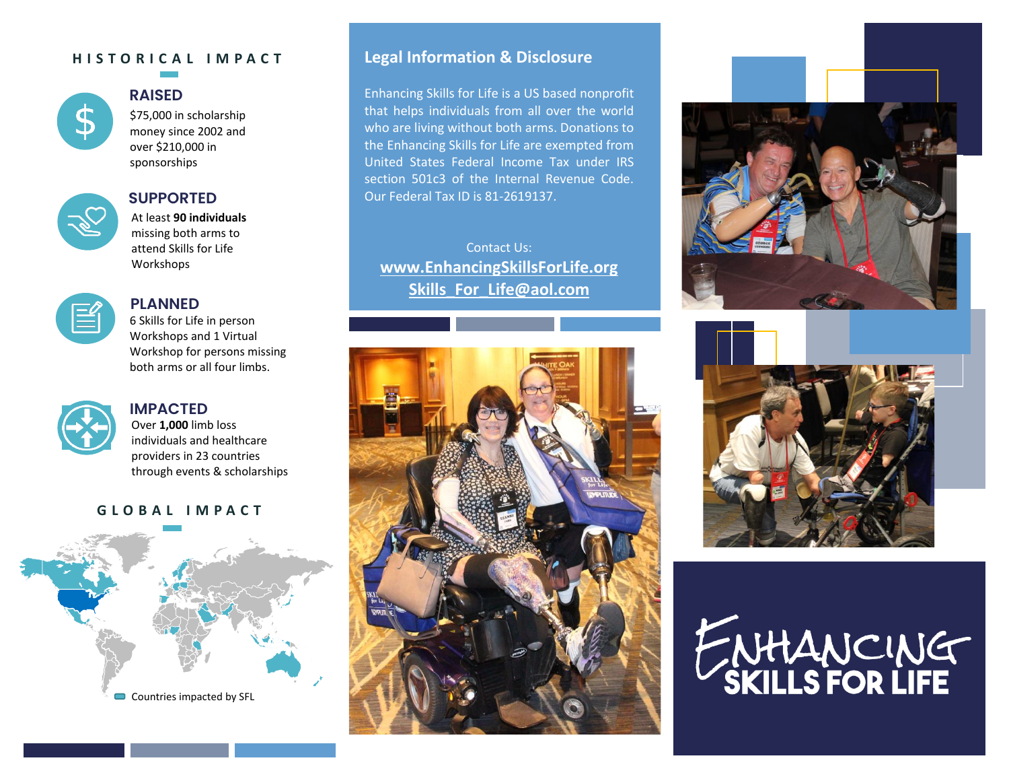#### **H I S T O R I C A L I M P A C T**



#### **RAISED**

\$75,000 in scholarship money since 2002 and over \$210,000 in sponsorships



# **SUPPORTED**

At least **90 individuals**  missing both arms to attend Skills for Life **Workshops** 



# **PLANNED**

6 Skills for Life in person Workshops and 1 Virtual Workshop for persons missing both arms or all four limbs.



#### **IMPACTED** Over **1,000** limb loss

individuals and healthcare providers in 23 countries through events & scholarships

#### **G L O B A L I M P A C T**



### **Legal Information & Disclosure**

Enhancing Skills for Life is a US based nonprofit that helps individuals from all over the world who are living without both arms. Donations to the Enhancing Skills for Life are exempted from United States Federal Income Tax under IRS section 501c3 of the Internal Revenue Code. Our Federal Tax ID is 81-2619137.

Contact Us: **[www.EnhancingSkillsForLife.org](http://www.enhancingskillsforlife.org/) [Skills\\_For\\_Life@aol.com](mailto:Skills_For_Life@aol.com)**